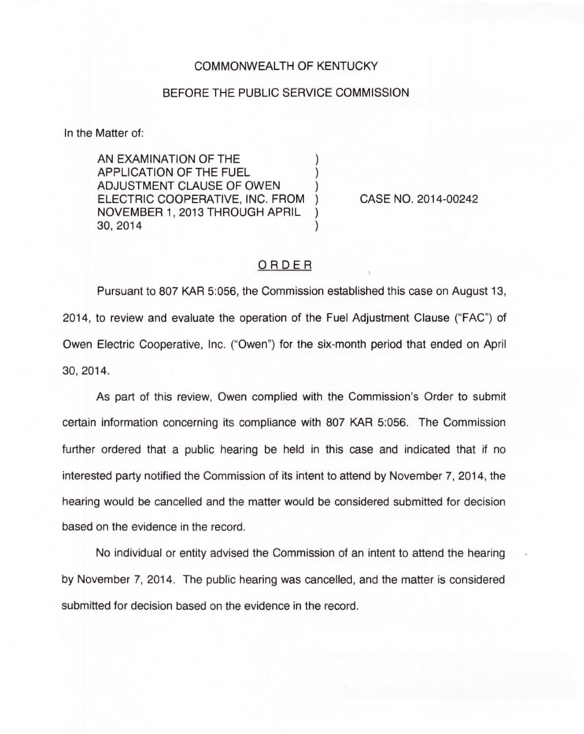## COMMONWEALTH OF KENTUCKY

## BEFORE THE PUBLIC SERVICE COMMISSION

In the Matter of:

AN EXAMINATION OF THE APPLICATION OF THE FUEL ) ADJUSTMENT CLAUSE OF OWEN ELECTRIC COOPERATIVE, INC. FROM ) NOVEMBER 1, 2013 THROUGH APRIL ) 30, 2014 )

CASE NO. 2014-00242

## ORDER

Pursuant to 807 KAR 5:056, the Commission established this case on August 13, 2014, to review and evaluate the operation of the Fuel Adjustment Clause ("FAC") of Owen Electric Cooperative, Inc. ("Owen") for the six-month period that ended on Apri 30, 2014.

As part of this review, Owen complied with the Commission's Order to submit certain information concerning its compliance with 807 KAR 5:056. The Commission further ordered that a public hearing be held in this case and indicated that if no interested party notified the Commission of its intent to attend by November 7, 2014, the hearing would be cancelled and the matter would be considered submitted for decision based on the evidence in the record.

No individual or entity advised the Commission of an intent to attend the hearing by November 7, 2014. The public hearing was cancelled, and the matter is considered submitted for decision based on the evidence in the record.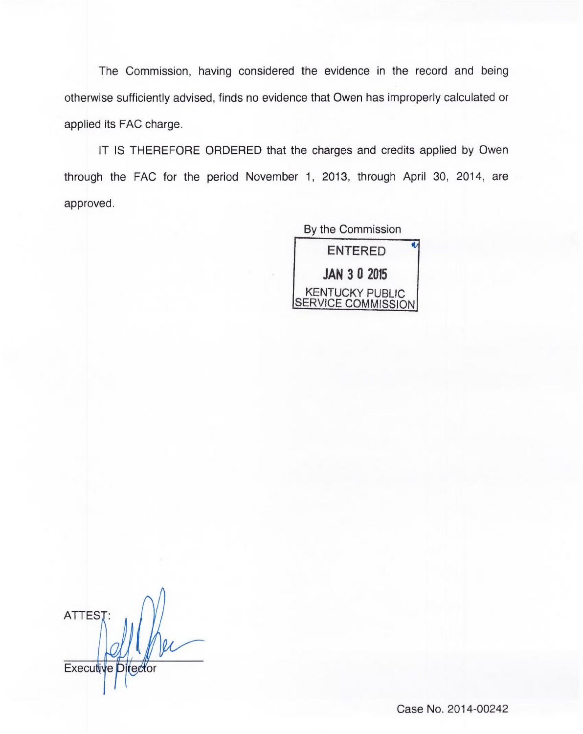The Commission, having considered the evidence in the record and being otherwise sufficiently advised, finds no evidence that Owen has improperly calculated or applied its FAC charge.

IT IS THEREFORE ORDERED that the charges and credits applied by Owen through the FAC for the period November 1, 2013, through April 30, 2014, are approved.

> By the Commission ENTERED JAN 3 0 2015 KENTUCKY PUBLIC SERVICE COMMISSION

**ATTEST** Executive Director

Case No. 2014-00242